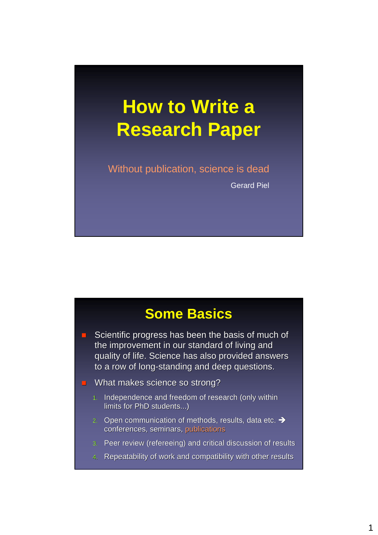# **How to Write a Research Paper**

Without publication, science is dead

Gerard Piel

## **Some Basics**

- Scientific progress has been the basis of much of the improvement in our standard of living and quality of life. Science has also provided answers to a row of long-standing and deep questions.
- **NH** What makes science so strong?
	- 1. Independence and freedom of research (only within limits for PhD students...)
	- 2. Open communication of methods, results, data etc.  $\rightarrow$ conferences, seminars, publications
	- 3. Peer review (refereeing) and critical discussion of results
	- 4. Repeatability of work and compatibility with other results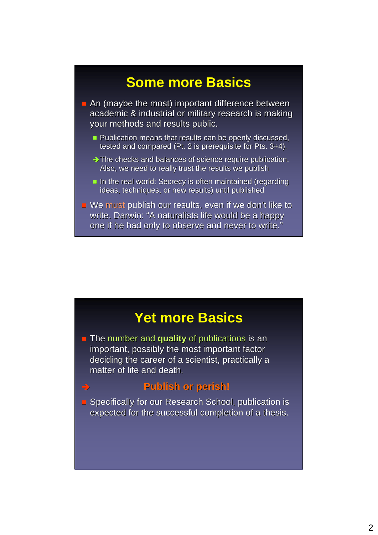### **Some more Basics**

 $\blacksquare$  An (maybe the most) important difference between academic & industrial or military research is making your methods and results public.

- $\blacksquare$  Publication means that results can be openly discussed, tested and compared (Pt. 2 is prerequisite for Pts.  $3+4$ ).
- $\rightarrow$  The checks and balances of science require publication. Also, we need to really trust the results we publish
- In the real world: Secrecy is often maintained (regarding ideas, techniques, or new results) until published
- We must publish our results, even if we don't like to publish our results, even if we don't like to write. Darwin: "A naturalists life would be a happy one if he had only to observe and never to write."

#### **Yet more Basics**

**The number and quality of publications is an** important, possibly the most important factor deciding the career of a scientist, practically a the career of a scientist, practically a matter of life and death.

#### Î **Publish or perish! Publish or perish!**

**B** Specifically for our Research School, publication is expected for the successful completion of a thesis.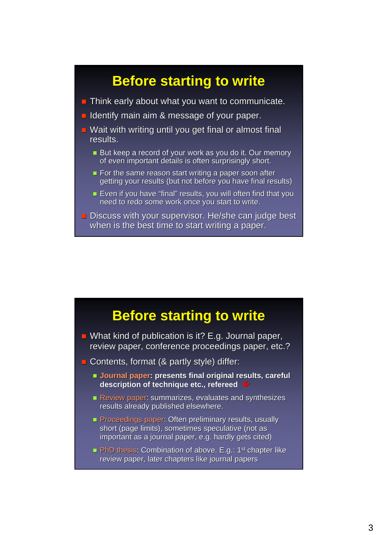## **Before starting to write**

- $\blacksquare$  Think early about what you want to communicate.
- I Identify main aim  $\&$  message of your paper.
- $\blacksquare$  Wait with writing until you get final or almost final results.
	- But keep a record of your work as you do it. Our memory of even important details is often surprisingly short.
	- For the same reason start writing a paper soon after getting your results (but not before you have final results)
	- Even if you have "final" results, you will often find that you need to redo some work once you start to write.
- **Discuss with your supervisor. He/she can judge best** when is the best time to start writing a paper.

#### **Before starting to write**

- What kind of publication is it? E.g. Journal paper, review paper, conference proceedings paper, etc.?
- Contents, format ( $&$  partly style) differ:
	- **Journal paper: presents final original results, careful is a present of the sent of proper sent of the sent of proper sent of proper sent of proper sent of proper sent of proper sent of proper sent of proper sent of prope** description of technique etc., refereed
	- Review paper: summarizes, evaluates and synthesizes results already published elsewhere.
	- Proceedings paper: Often preliminary results, usually short (page limits), sometimes speculative (not as important as a journal paper, e.g. hardly gets cited)
	- **PhD thesis: Combination of above. E.g.: 1st chapter like** review paper, later chapters like journal papers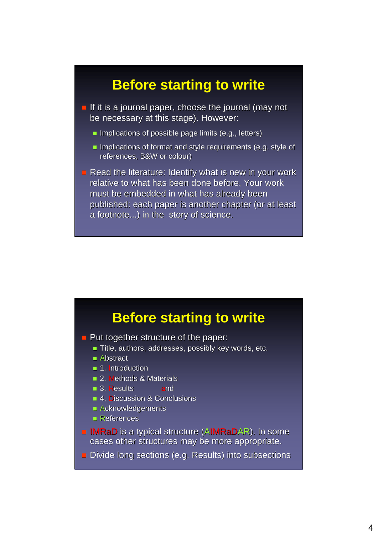### **Before starting to write**

- $\blacksquare$  If it is a journal paper, choose the journal (may not be necessary at this stage). However:
	- Implications of possible page limits (e.g., letters)
	- Implications of format and style requirements (e.g. style of references, B&W or colour)

Read the literature: Identify what is new in your work relative to what has been done before. Your work must be embedded in what has already been published: each paper is another chapter (or at least a footnote...) in the story of science.

#### **Before starting to write**

- $\blacksquare$  Put together structure of the paper:
	- $\blacksquare$  Title, authors, addresses, possibly key words, etc.
	- $\blacksquare$  Abstract
	- 1. Introduction
	- **2. Methods & Materials**
	- **3. Results and**
	- 4. Discussion & Conclusions
	- $\blacksquare$  Acknowledgements
	- $\blacksquare$  References
- $\blacksquare$  IMRaD is a typical structure (AIMRaDAR). In some cases other structures may be more appropriate.
- **Divide long sections (e.g. Results) into subsections**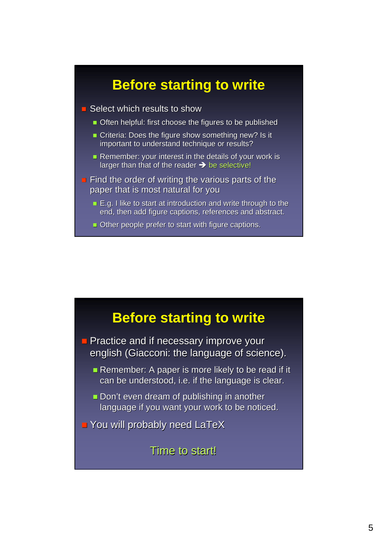## **Before starting to write**

- Select which results to show
	- **Often helpful: first choose the figures to be published**
	- Criteria: Does the figure show something new? Is it important to understand technique or results?
	- Remember: your interest in the details of your work is larger than that of the reader  $\rightarrow$  be selective!
- $\blacksquare$  Find the order of writing the various parts of the paper that is most natural for you
	- $\blacksquare$  E.g. I like to start at introduction and write through to the end, then add figure captions, references and abstract.
	- $\blacksquare$  Other people prefer to start with figure captions.

#### **Before starting to write**

- **Practice and if necessary improve your** english (Giacconi: the language of science).
	- Remember: A paper is more likely to be read if it can be understood, i.e. if the language is clear.
	- $\blacksquare$  Don't even dream of publishing in another language if you want your work to be noticed.
- **P** You will probably need LaTeX

#### Time to start!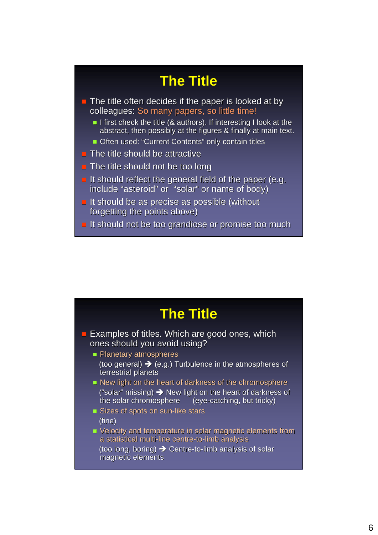## **The Title**

- $\blacksquare$  The title often decides if the paper is looked at by colleagues: So many papers, so little time!
	- I first check the title (& authors). If interesting I look at the abstract, then possibly at the figures & finally at main text.
	- Often used: "Current Contents" only contain titles
- $\blacksquare$  The title should be attractive
- $\blacksquare$  The title should not be too long
- It should reflect the general field of the paper (e.g. include "asteroid" or "solar" or name of body)
- $\blacksquare$  It should be as precise as possible (without forgetting the points above)
- $\blacksquare$  It should not be too grandiose or promise too much

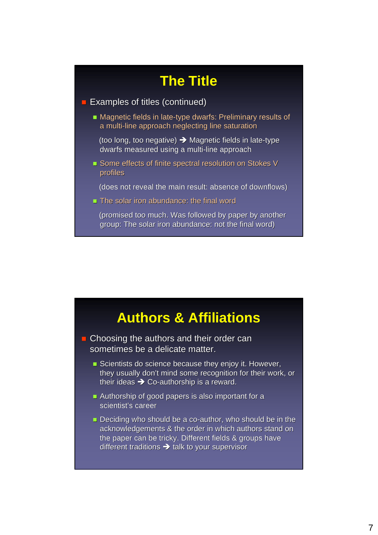## **The Title**

- **Examples of titles (continued)** 
	- Magnetic fields in late-type dwarfs: Preliminary results of a multi-line approach neglecting line saturation

(too long, too negative)  $\rightarrow$  Magnetic fields in late-type dwarfs measured using a multi-line approach

Some effects of finite spectral resolution on Stokes V profiles

(does not reveal the main result: absence of downflows)

 $\blacksquare$  The solar iron abundance: the final word

(promised too much. Was followed by paper by another group: The solar iron abundance: not the final word)

#### **Authors & Affiliations**

 $\blacksquare$  Choosing the authors and their order can sometimes be a delicate matter.

- Scientists do science because they enjoy it. However, they usually don't mind some recognition for their work, or their ideas  $\rightarrow$  Co-authorship is a reward.
- Authorship of good papers is also important for a scientist's career
- $\blacksquare$  Deciding who should be a co-author, who should be in the acknowledgements & the order in which authors stand on the paper can be tricky. Different fields & groups have different traditions  $\rightarrow$  talk to your supervisor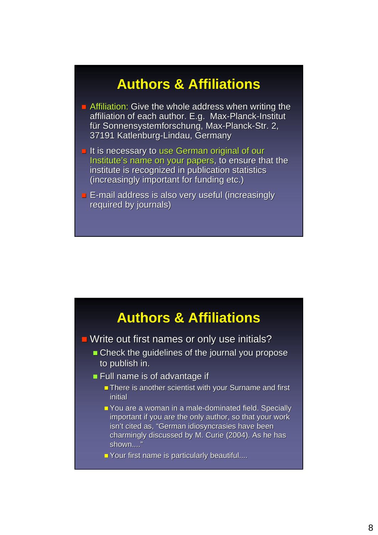## **Authors & Affiliations**

- **E** Affiliation: Give the whole address when writing the affiliation of each author. E.g. Max-Planck-Institut für Sonnensystemforschung, Max-Planck-Str. 2, 37191 Katlenburg-Lindau, Germany
- It is necessary to use German original of our Institute's name on your papers, to ensure that the institute is recognized in publication statistics (increasingly important for funding etc.)
- $\blacksquare$  E-mail address is also very useful (increasingly required by journals)



 $\blacksquare$  Write out first names or only use initials?

- Check the guidelines of the journal you propose Check the guidelines of the journal you propose to publish in.
- $\blacksquare$  Full name is of advantage if
	- $\blacksquare$  There is another scientist with your Surname and first initial
	- $\blacksquare$  You are a woman in a male-dominated field. Specially important if you are the only author, so that your work isn't cited as, "German idiosyncrasies have been charmingly discussed by M. Curie (2004). As he has shown...."
	- $\blacksquare$  Your first name is particularly beautiful....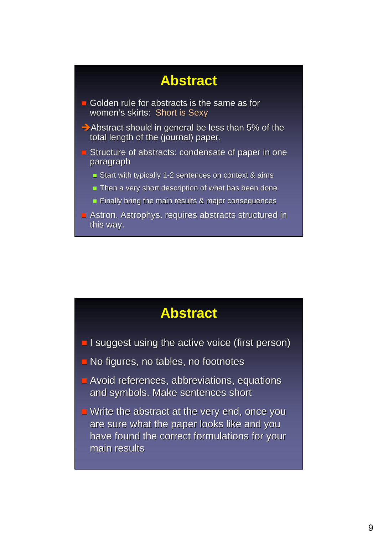## **Abstract**

- Golden rule for abstracts is the same as for women's skirts: Short is Sexy
- $\rightarrow$  Abstract should in general be less than 5% of the total length of the (journal) paper.
- $\blacksquare$  Structure of abstracts: condensate of paper in one paragraph
	- Start with typically 1-2 sentences on context  $\&$  aims
	- $\blacksquare$  Then a very short description of what has been done
	- $\blacksquare$  Finally bring the main results & major consequences
- Astron. Astrophys. requires abstracts structured in this way.

#### **Abstract**

- **I** I suggest using the active voice (first person)
- No figures, no tables, no footnotes
- $\blacksquare$  Avoid references, abbreviations, equations and symbols. Make sentences short
- $\blacksquare$  Write the abstract at the very end, once you are sure what the paper looks like and you have found the correct formulations for your main results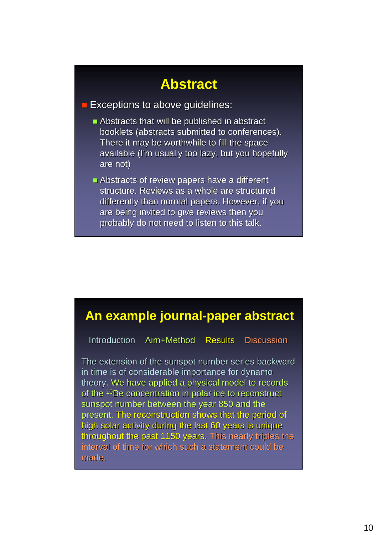## **Abstract**

#### $\blacksquare$  Exceptions to above guidelines:

- $\blacksquare$  Abstracts that will be published in abstract booklets (abstracts submitted to conferences). There it may be worthwhile to fill the space available (I'm usually too lazy, but you hopefully are not) are
- $\blacksquare$  Abstracts of review papers have a different structure. Reviews as a whole are structured differently than normal papers. However, if you are being invited to give reviews then you probably do not need to listen to this talk.

#### **An example journal-paper abstract**

Introduction Aim+Method Results Discussion

The extension of the sunspot number series backward in time is of considerable importance for dynamo theory. We have applied a physical model to records of the  $10B$ e concentration in polar ice to reconstruct sunspot number between the year 850 and the present. The reconstruction shows that the period of high solar activity during the last 60 years is unique throughout the past 1150 years. This nearly triples the interval of time for which such a statement could be interval of time for which such a statement could be made.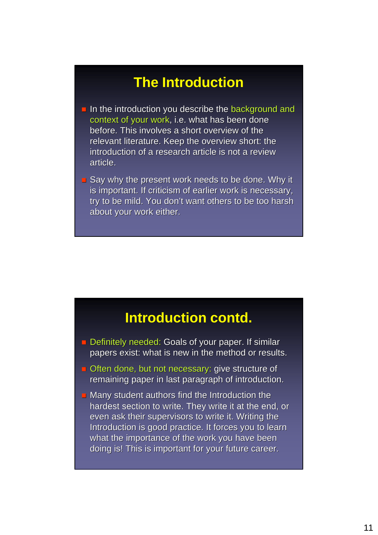## **The Introduction**

- $\blacksquare$  In the introduction you describe the background and context of your work, i.e. what has been done before. This involves a short overview of the relevant literature. Keep the overview short: the introduction of a research article is not a review article.
- $\Box$  Say why the present work needs to be done. Why it is important. If criticism of earlier work is necessary, try to be mild. You don't want others to be too harsh about your work either.

#### **Introduction contd.**

- Definitely needed: Goals of your paper. If similar papers exist: what is new in the method or results.
- $\Box$  Often done, but not necessary: give structure of remaining paper in last paragraph of introduction.
- $\blacksquare$  Many student authors find the Introduction the hardest section to write. They write it at the end, or even ask their supervisors to write it. Writing the Introduction is good practice. It forces you to learn what the importance of the work you have been doing is! This is important for your future career.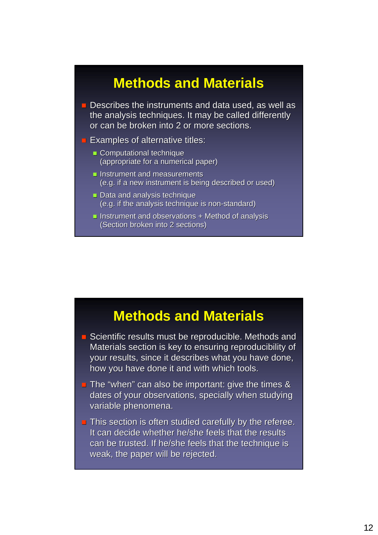## **Methods and Materials**

- $\blacksquare$  Describes the instruments and data used, as well as the analysis techniques. It may be called differently or can be broken into 2 or more sections.
- $\blacksquare$  Examples of alternative titles:
	- Computational technique (appropriate for a numerical paper)
	- $\blacksquare$  Instrument and measurements (e.g. if a new instrument is being described or used)
	- Data and analysis technique (e.g. if the analysis technique is non-standard)
	- **Instrument and observations + Method of analysis** (Section broken into 2 sections)

#### **Methods and Materials**

- $\blacksquare$  Scientific results must be reproducible. Methods and Materials section is key to ensuring reproducibility of your results, since it describes what you have done, how you have done it and with which tools.
- $\blacksquare$  The "when" can also be important: give the times & dates of your observations, specially when studying variable phenomena.
- $\blacksquare$  This section is often studied carefully by the referee. It can decide whether he/she feels that the results can be trusted. If he/she feels that the technique is weak, the paper will be rejected.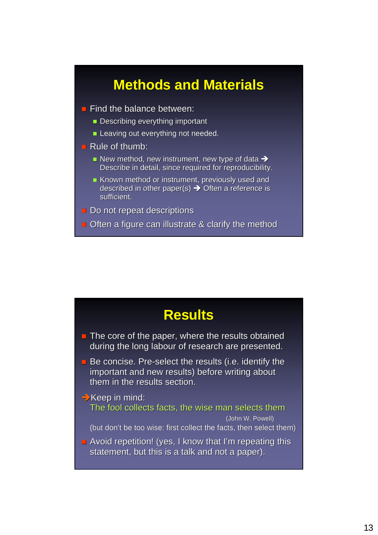## **Methods and Materials**

- $\blacksquare$  Find the balance between:
	- **Describing everything important**
	- **Leaving out everything not needed.**
- $\blacksquare$  Rule of thumb:
	- New method, new instrument, new type of data  $\rightarrow$ Describe in detail, since required for reproducibility.
	- Known method or instrument, previously used and described in other paper(s)  $\rightarrow$  Often a reference is sufficient.
- Do not repeat descriptions
- **Often a figure can illustrate & clarify the method**

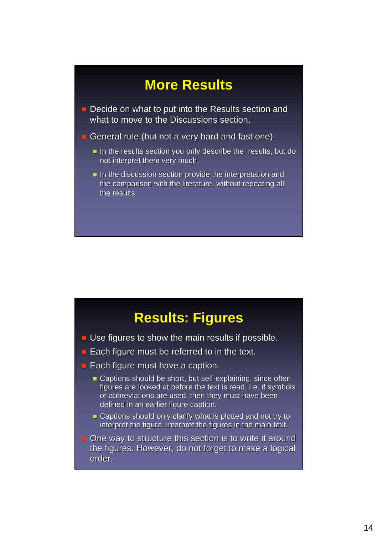## **More Results**

- Decide on what to put into the Results section and what to move to the Discussions section.
- General rule (but not a very hard and fast one)
	- $\blacksquare$  In the results section you only describe the results, but do not interpret them very much.
	- In the discussion section provide the interpretation and the comparison with the literature, without repeating all the results.

#### **Results: Figures**

- $\blacksquare$  Use figures to show the main results if possible.
- $\blacksquare$  Each figure must be referred to in the text.
- $\blacksquare$  Each figure must have a caption.
	- Captions should be short, but self-explaining, since often figures are looked at before the text is read. I.e. if symbols or abbreviations are used, then they must have been defined in an earlier figure caption.
	- Captions should only clarify what is plotted and not try to interpret the figure. Interpret the figures in the main text.
- $\Box$  One way to structure this section is to write it around the figures. However, do not forget to make a logical order.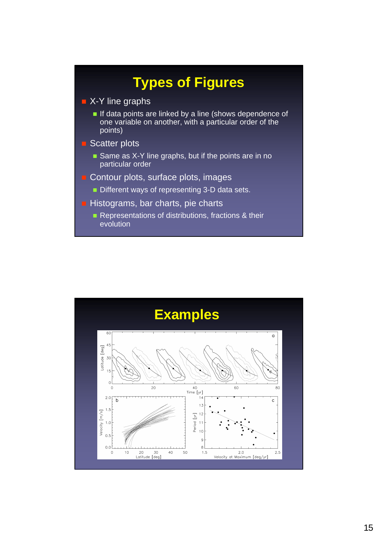

#### **X-Y line graphs**

- If data points are linked by a line (shows dependence of one variable on another, with a particular order of the points)
- Scatter plots
	- Same as X-Y line graphs, but if the points are in no particular order
- Contour plots, surface plots, images
	- Different ways of representing 3-D data sets.
- $\blacksquare$  Histograms, bar charts, pie charts
	- Representations of distributions, fractions & their evolution

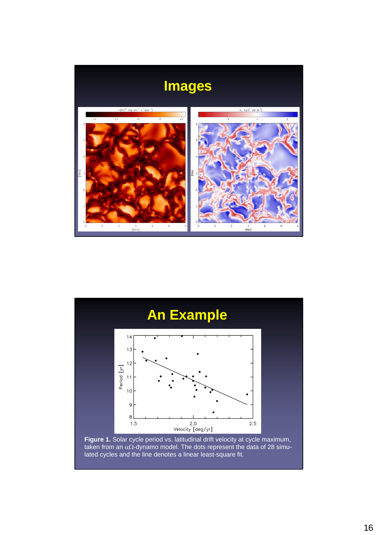



taken from an αΩ-dynamo model. The dots represent the data of 28 simulated cycles and the line denotes a linear least-square fit.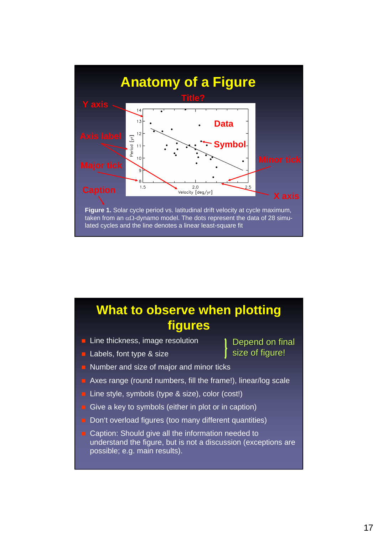

### **What to observe when plotting figures**

- $\blacksquare$  Line thickness, image resolution
- **Labels, font type & size**
- Number and size of major and minor ticks
- Axes range (round numbers, fill the frame!), linear/log scale
- Line style, symbols (type & size), color (cost!)
- Give a key to symbols (either in plot or in caption)
- Don't overload figures (too many different quantities)
- Caption: Should give all the information needed to understand the figure, but is not a discussion (exceptions are possible; e.g. main results).

#### Depend on final size of figure!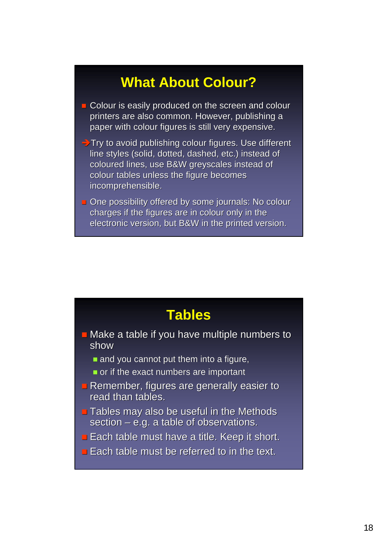## **What About Colour?**

- $\Box$  Colour is easily produced on the screen and colour printers are also common. However, publishing a paper with colour figures is still very expensive.
- $\rightarrow$  Try to avoid publishing colour figures. Use different line styles (solid, dotted, dashed, etc.) instead of coloured lines, use B&W greyscales instead of colour tables unless the figure becomes incomprehensible.
- **One possibility offered by some journals: No colour** charges if the figures are in colour only in the electronic version, but B&W in the printed version.

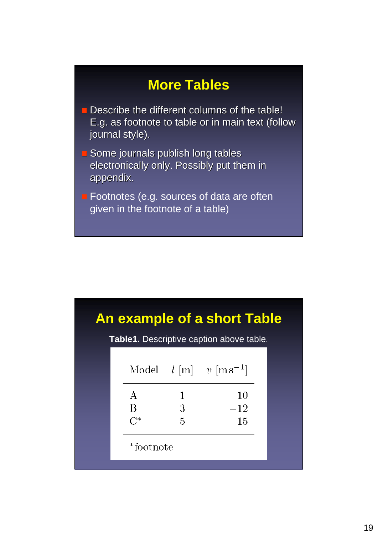## **More Tables**

- $\blacksquare$  Describe the different columns of the table! E.g. as footnote to table or in main text (follow E.g. as footnote to table or in main text (follow journal style).
- $\blacksquare$  Some journals publish long tables electronically only. Possibly put them in appendix. appendix.
- **Footnotes (e.g. sources of data are often** given in the footnote of a table)

**Table1.** Descriptive caption above table.

|          |                 | Model $l$ [m] $v$ [ms <sup>-1</sup> ] |
|----------|-----------------|---------------------------------------|
| $\bf{A}$ |                 | 10                                    |
| Β        | 3               | $-12$                                 |
| $C^*$    | $5\overline{)}$ | 15                                    |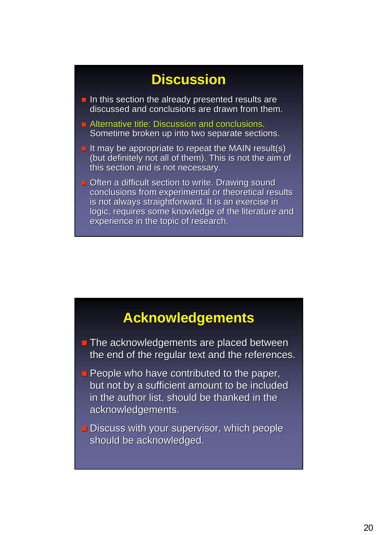## **Discussion**

- $\blacksquare$  In this section the already presented results are discussed and conclusions are drawn from them.
- $\blacksquare$  Alternative title: Discussion and conclusions. Sometime broken up into two separate sections.
- It may be appropriate to repeat the MAIN result(s) (but definitely not all of them). This is not the aim of this section and is not necessary.
- Often a difficult section to write. Drawing sound conclusions from experimental or theoretical results is not always straightforward. It is an exercise in logic, requires some knowledge of the literature and experience in the topic of research.

#### **Acknowledgements**

- $\blacksquare$  The acknowledgements are placed between the end of the regular text and the references.
- $\blacksquare$  People who have contributed to the paper, but not by a sufficient amount to be included in the author list, should be thanked in the acknowledgements. acknowledgements.
- $\blacksquare$  Discuss with your supervisor, which people should be acknowledged.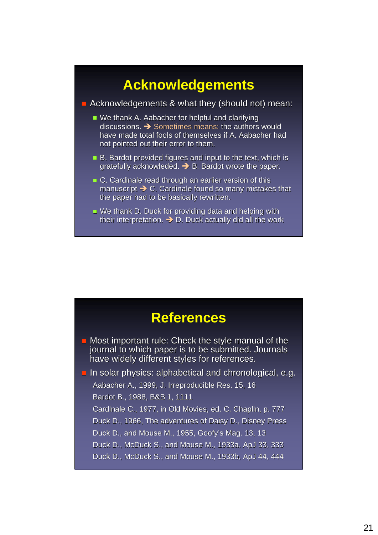## **Acknowledgements**

Acknowledgements & what they (should not) mean:

- We thank A. Aabacher for helpful and clarifying discussions.  $\rightarrow$  Sometimes means: the authors would have made total fools of themselves if A. Aabacher had not pointed out their error to them.
- $\blacksquare$  B. Bardot provided figures and input to the text, which is gratefully acknowleded.  $\rightarrow$  B. Bardot wrote the paper.
- $\blacksquare$  C. Cardinale read through an earlier version of this manuscript  $\rightarrow$  C. Cardinale found so many mistakes that the paper had to be basically rewritten.
- $\blacksquare$  We thank D. Duck for providing data and helping with their interpretation.  $\rightarrow$  D. Duck actually did all the work

#### **References**

 $\blacksquare$  Most important rule: Check the style manual of the journal to which paper is to be submitted. Journals have widely different styles for references.

 $\blacksquare$  In solar physics: alphabetical and chronological, e.g. Aabacher A., 1999, J. Irreproducible Res. 15, 16 Bardot B., 1988, B&B 1, 1111 Cardinale C., 1977, in Old Movies, ed. C. Chaplin, p. 777

Duck D., 1966, The adventures of Daisy D., Disney Press

Duck D., and Mouse M., 1955, Goofy's Mag. 13, 13

Duck D., McDuck S., and Mouse M., 1933a, ApJ 33, 333

Duck D., McDuck S., and Mouse M., 1933b, ApJ 44, 444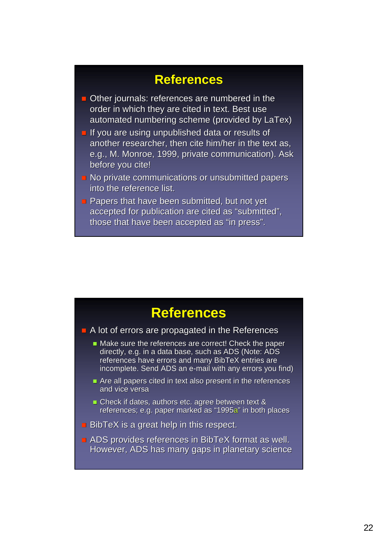#### **References**

- $\blacksquare$  Other journals: references are numbered in the order in which they are cited in text. Best use automated numbering scheme (provided by LaTex)
- $\blacksquare$  If you are using unpublished data or results of another researcher, then cite him/her in the text as, e.g., M. Monroe, 1999, private communication). Ask before you cite!
- $\blacksquare$  No private communications or unsubmitted papers into the reference list.
- **Papers that have been submitted, but not yet that have been submitted, but not yet** accepted for publication are cited as "submitted", those that have been accepted as "in press".

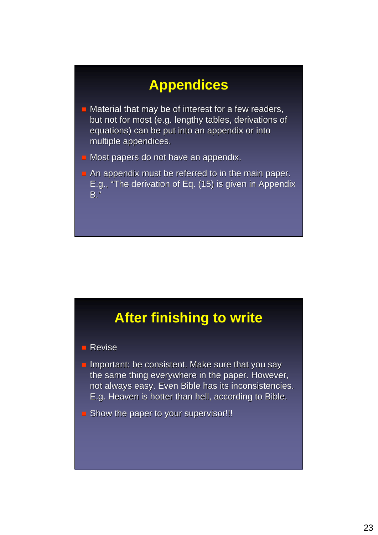## **Appendices**

- $\blacksquare$  Material that may be of interest for a few readers, but not for most (e.g. lengthy tables, derivations of equations) can be put into an appendix or into multiple appendices.
- $\blacksquare$  Most papers do not have an appendix.
- An appendix must be referred to in the main paper. E.g., "The derivation of Eq. (15) is given in Appendix B."

## **After finishing to write**

#### **Revise**

- **Important: be consistent. Make sure that you say** the same thing everywhere in the paper. However, not always easy. Even Bible has its inconsistencies. E.g. Heaven is hotter than hell, according to Bible. E.g. Heaven is hotter than hell, according to Bible.
- **Show the paper to your supervisor!!!**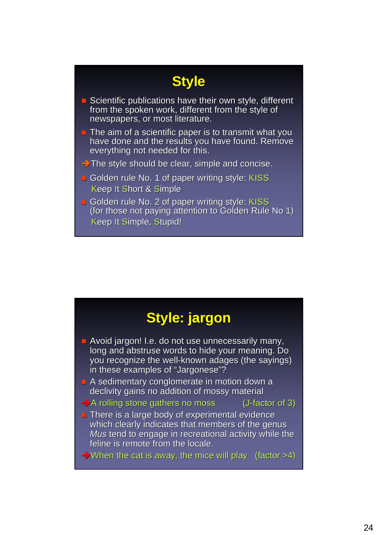## **Style**

- $\blacksquare$  Scientific publications have their own style, different from the spoken work, different from the style of newspapers, or most literature.
- $\Box$  The aim of a scientific paper is to transmit what you have done and the results you have found. Remove everything not needed for this.
- $\rightarrow$  The style should be clear, simple and concise.
- Golden rule No. 1 of paper writing style: KISS Keep It Short & Simple
- Golden rule No. 2 of paper writing style: KISS (for those not paying attention to Golden Rule No 1) Keep It Simple, Stupid!

## **Style: jargon**

- $\blacksquare$  Avoid jargon! I.e. do not use unnecessarily many, long and abstruse words to hide your meaning. Do you recognize the well-known adages (the sayings) in these examples of "Jargonese"?
- $\blacksquare$  A sedimentary conglomerate in motion down a declivity gains no addition of mossy material
- $\rightarrow$  A rolling stone gathers no moss (J-factor of 3)
- $\blacksquare$  There is a large body of experimental evidence which clearly indicates that members of the genus *Mus* tend to engage in recreational activity while the feline is remote from the locale.
- $\rightarrow$  When the cat is away, the mice will play (factor >4)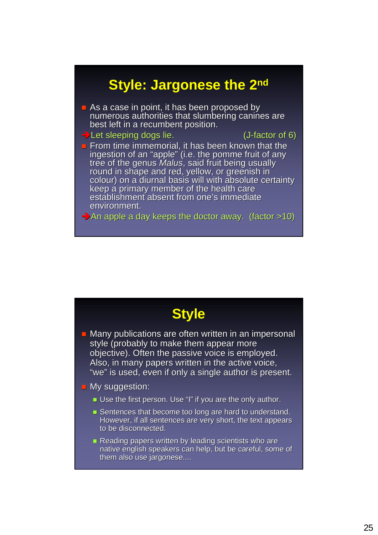## **Style: Jargonese the 2nd**

 $\blacksquare$  As a case in point, it has been proposed by numerous authorities that slumbering canines are best left in a recumbent position.

 $\rightarrow$  Let sleeping dogs lie.  $($ J-factor of 6) factor of 6) factor of 6) factor of 6) factor of 6)

**From time immemorial, it has been known that the** ingestion of an "apple" (i.e. the pomme fruit of any<br>tree of the genus *Malus*, said fruit being usually<br>round in shape and red, yellow, or greenish in colour) on a diurnal basis will with absolute certainty keep a primary member of the health care establishment absent from one's immediate environment.

 $\rightarrow$  An apple a day keeps the doctor away. (factor >10)

| <b>Style</b>                                                                                                                                                                                                                                                        |  |
|---------------------------------------------------------------------------------------------------------------------------------------------------------------------------------------------------------------------------------------------------------------------|--|
| Many publications are often written in an impersonal<br>style (probably to make them appear more<br>objective). Often the passive voice is employed.<br>Also, in many papers written in the active voice,<br>"we" is used, even if only a single author is present. |  |
| <b>Ny suggestion:</b>                                                                                                                                                                                                                                               |  |
| Use the first person. Use "I" if you are the only author.                                                                                                                                                                                                           |  |
| Sentences that become too long are hard to understand.<br>However, if all sentences are very short, the text appears<br>to be disconnected.                                                                                                                         |  |
| Reading papers written by leading scientists who are<br>native english speakers can help, but be careful, some of<br>them also use jargonese                                                                                                                        |  |
|                                                                                                                                                                                                                                                                     |  |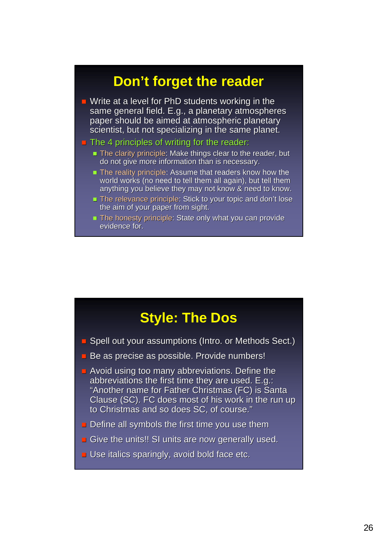### **Don't forget the reader**

- $\blacksquare$  Write at a level for PhD students working in the same general field. E.g., a planetary atmospheres paper should be aimed at atmospheric planetary scientist, but not specializing in the same planet.
- $\blacksquare$  The 4 principles of writing for the reader:
	- $\blacksquare$  The clarity principle: Make things clear to the reader, but do not give more information than is necessary.
	- $\blacksquare$  The reality principle: Assume that readers know how the world works (no need to tell them all again), but tell them anything you believe they may not know & need to know.
	- **The relevance principle: Stick to your topic and don't lose** the aim of your paper from sight.
	- $\blacksquare$  The honesty principle: State only what you can provide evidence for.

#### **Style: The Dos**

- $\Box$  Spell out your assumptions (Intro. or Methods Sect.)
- $\blacksquare$  Be as precise as possible. Provide numbers!
- $\blacksquare$  Avoid using too many abbreviations. Define the abbreviations the first time they are used. E.g.: "Another name for Father Christmas (FC) is Santa Clause (SC). FC does most of his work in the run up to Christmas and so does SC, of course."
- **Define all symbols the first time you use them**
- Give the units!! SI units are now generally used.
- $\blacksquare$  Use italics sparingly, avoid bold face etc.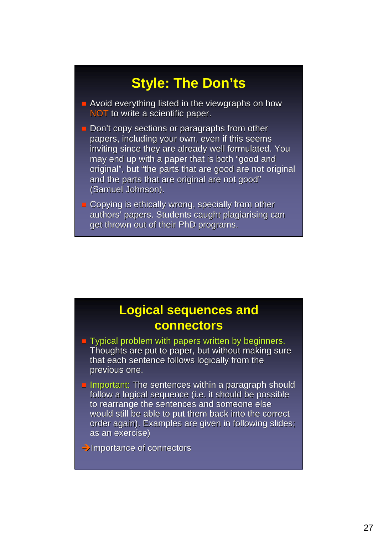## **Style: The Don'ts**

- $\blacksquare$  Avoid everything listed in the viewgraphs on how NOT to write a scientific paper.
- $\blacksquare$  Don't copy sections or paragraphs from other papers, including your own, even if this seems inviting since they are already well formulated. You may end up with a paper that is both "good and original", but "the parts that are good are not original" and the parts that are original are not good" (Samuel Johnson).
- **Copying is ethically wrong, specially from other** authors' papers. Students caught plagiarising can get thrown out of their PhD programs.

#### **Logical sequences and connectors**

- $\blacksquare$  Typical problem with papers written by beginners. Thoughts are put to paper, but without making sure that each sentence follows logically from the previous one.
- **Important: The sentences within a paragraph should The sentences within a paragraph should** follow a logical sequence (i.e. it should be possible to rearrange the sentences and someone else would still be able to put them back into the correct order again). Examples are given in following slides; as an exercise)

 $\rightarrow$ Importance of connectors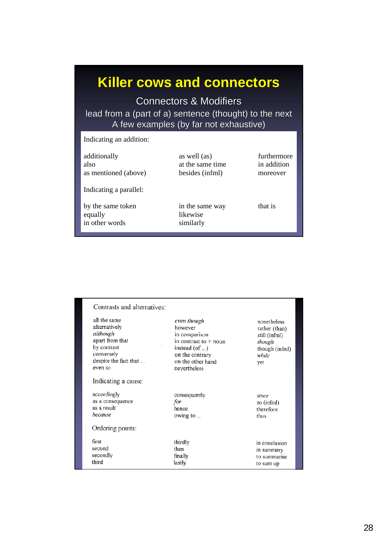## **Killer cows and connectors**

Connectors & Modifiers lead from a (part of a) sentence (thought) to the next A few examples (by far not exhaustive) A few examples (by far not exhaustive)

| Indicating an addition:                        |                                                     |                                        |
|------------------------------------------------|-----------------------------------------------------|----------------------------------------|
| additionally<br>also<br>as mentioned (above)   | as well (as)<br>at the same time<br>besides (infml) | furthermore<br>in addition<br>moreover |
| Indicating a parallel:                         |                                                     |                                        |
| by the same token<br>equally<br>in other words | in the same way<br>likewise<br>similarly            | that is                                |

| all the same<br>alternatively<br>although<br>apart from that<br>by contrast<br>conversely<br>despite the fact that<br>even so<br>Indicating a cause: | even though<br>however<br>in comparison<br>in contrast to $+$ noun<br>instead (of )<br>on the contrary<br>on the other hand<br>nevertheless | nonetheless<br>rather (than)<br>still (infml)<br>though<br>though (infml)<br>while<br>yet |
|------------------------------------------------------------------------------------------------------------------------------------------------------|---------------------------------------------------------------------------------------------------------------------------------------------|-------------------------------------------------------------------------------------------|
| accordingly<br>as a consequence<br>as a result<br>because<br>Ordering points:                                                                        | consequently<br>for<br>hence<br>owing to                                                                                                    | since<br>so (infml)<br>therefore<br>thus                                                  |
| first.<br>second<br>secondly<br>third                                                                                                                | thirdly<br>then<br>finally<br>lastly                                                                                                        | in conclusion<br>in summary<br>to summarise<br>to sum up                                  |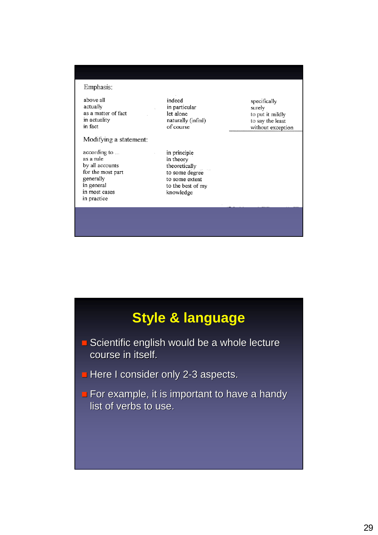Emphasis:

above all actually as a matter of fact in actuality in fact

Modifying a statement:

according to ... as a rule by all accounts for the most part generally in general in most cases in practice

indeed in particular let alone naturally (infml) of course

in principle in theory theoretically to some degree to some extent to the best of my knowledge

specifically surely to put it mildly to say the least without exception

## **Style & language**

- $\blacksquare$  Scientific english would be a whole lecture course in itself.
- $\blacksquare$  Here I consider only 2-3 aspects.
- **For example, it is important to have a handy** list of verbs to use.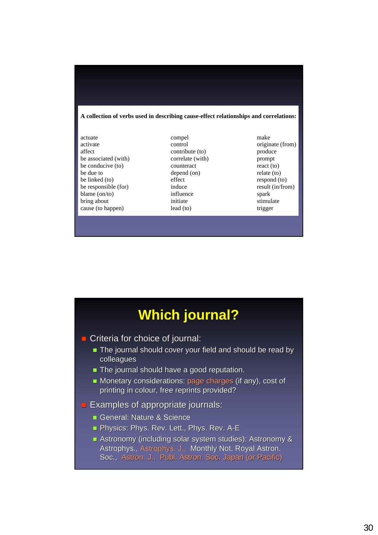#### **A collection of verbs used in describing cause-effect relationships and correlations:**

| actuate                | compel           | make    |
|------------------------|------------------|---------|
| activate               | control          | origin  |
| affect                 | contribute (to)  | produ   |
| be associated (with)   | correlate (with) | promp   |
| be conducive (to)      | counteract       | react ( |
| be due to              | depend (on)      | relate  |
| be linked (to)         | effect           | respor  |
| be responsible (for)   | induce           | result  |
| blame $\text{(on/to)}$ | influence        | spark   |
| bring about            | initiate         | stimul  |
| cause (to happen)      | lead (to)        | trigge  |
|                        |                  |         |

contribute (to) produce correlate (with) prompt be conducive (to) counteract react (to) depend (on) relate (to) effect respond (to) influence spark initiate stimulate lead (to) trigger

control originate (from) induce result (in/from)

## **Which journal?**

**Criteria for choice of journal:** 

- The journal should cover your field and should be read by colleagues
- $\blacksquare$  The journal should have a good reputation.
- Monetary considerations: page charges (if any), cost of printing in colour, free reprints provided?
- **Examples of appropriate journals:** 
	- General: Nature & Science
	- **Physics: Phys. Rev. Lett., Phys. Rev. A-E**
	- Astronomy (including solar system studies): Astronomy & Astrophys., Astrophys. J., Monthly Not. Royal Astron. Soc., Astron. J., Publ. Astron. Soc. Japan (or Pacific).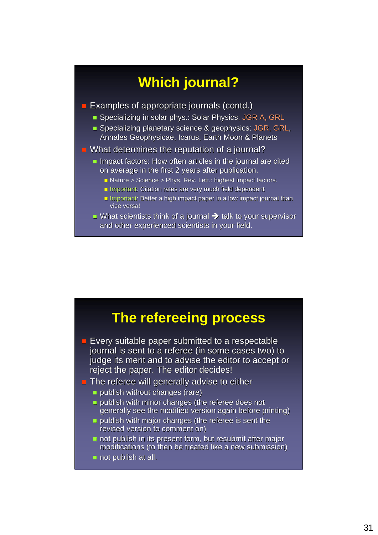## **Which journal?**

- $\blacksquare$  Examples of appropriate journals (contd.)
	- Specializing in solar phys.: Solar Physics; JGR A, GRL
	- **Specializing planetary science & geophysics: JGR, GRL,** Annales Geophysicae, Icarus, Earth Moon & Planets
- $\blacksquare$  What determines the reputation of a journal?
	- Impact factors: How often articles in the journal are cited on average in the first 2 years after publication.
		- $\blacksquare$  Nature > Science > Phys. Rev. Lett.: highest impact factors.
		- **Important: Citation rates are very much field dependent :**
		- **Important: Better a high impact paper in a low impact journal than** vice versa!
	- What scientists think of a journal  $\rightarrow$  talk to your supervisor and other experienced scientists in your field.

#### **The refereeing process**

- $\blacksquare$  Every suitable paper submitted to a respectable journal is sent to a referee (in some cases two) to judge its merit and to advise the editor to accept or reject the paper. The editor decides!
- $\blacksquare$  The referee will generally advise to either
	- $\blacksquare$  publish without changes (rare)
	- **publish with minor changes (the referee does not** generally see the modified version again before printing)
	- **publish with major changes (the referee is sent the referee** is sent the  $\overline{t}$ revised version to comment on)
	- $\blacksquare$  not publish in its present form, but resubmit after major modifications (to then be treated like a new submission)
	- $\blacksquare$  not publish at all.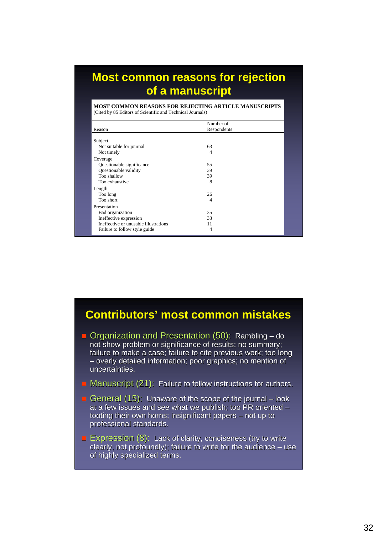#### **Most common reasons for rejection of a manuscript**

**MOST COMMON REASONS FOR REJECTING ARTICLE MANUSCRIPTS**  (Cited by 85 Editors of Scientific and Technical Journals)

|                                       | Number of      |  |
|---------------------------------------|----------------|--|
| Reason                                | Respondents    |  |
| Subject                               |                |  |
| Not suitable for journal              | 63             |  |
| Not timely                            | 4              |  |
| Coverage                              |                |  |
| Questionable significance             | 55             |  |
| Questionable validity                 | 39             |  |
| Too shallow                           | 39             |  |
| Too exhaustive                        | 8              |  |
| Length                                |                |  |
| Too long                              | 26             |  |
| Too short                             | $\overline{4}$ |  |
| Presentation                          |                |  |
| Bad organization                      | 35             |  |
| Ineffective expression                | 33             |  |
| Ineffective or unusable illustrations | 11             |  |
| Failure to follow style guide         | 4              |  |

#### **Contributors' most common mistakes**

- $\Box$  Organization and Presentation (50): Rambling do not show problem or significance of results; no summary; failure to make a case; failure to cite previous work; too long – overly detailed information; poor graphics; no mention of uncertainties.
- **Manuscript (21):** Failure to follow instructions for authors.
- General (15): Unaware of the scope of the journal look at a few issues and see what we publish; too PR oriented  $$ tooting their own horns; insignificant papers – not up to professional standards.
- **Expression (8):** Lack of clarity, conciseness (try to write clearly, not profoundly); failure to write for the audience  $-$  use of highly specialized terms.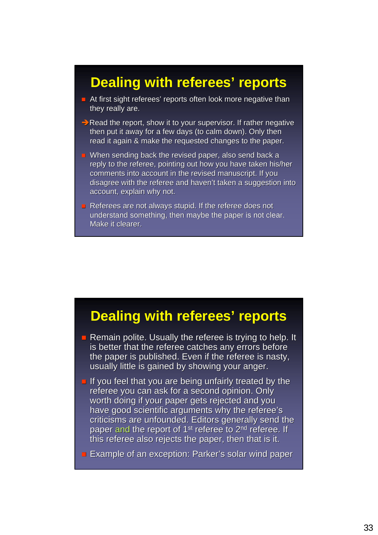#### **Dealing with referees' reports**

- $\blacksquare$  At first sight referees' reports often look more negative than they really are.
- $\rightarrow$  Read the report, show it to your supervisor. If rather negative then put it away for a few days (to calm down). Only then read it again & make the requested changes to the paper.
- When sending back the revised paper, also send back a reply to the referee, pointing out how you have taken his/her comments into account in the revised manuscript. If you disagree with the referee and haven't taken a suggestion into account, explain why not.
- Referees are not always stupid. If the referee does not understand something, then maybe the paper is not clear. Make it clearer.

#### **Dealing with referees' reports**

- Remain polite. Usually the referee is trying to help. It is better that the referee catches any errors before the paper is published. Even if the referee is nasty, usually little is gained by showing your anger.
- If you feel that you are being unfairly treated by the referee you can ask for a second opinion. Only worth doing if your paper gets rejected and you have good scientific arguments why the referee's criticisms are unfounded. Editors generally send the paper and the report of  $1<sup>st</sup>$  referee to  $2<sup>nd</sup>$  referee. If this referee also rejects the paper, then that is it.
- **Example of an exception: Parker's solar wind paper s**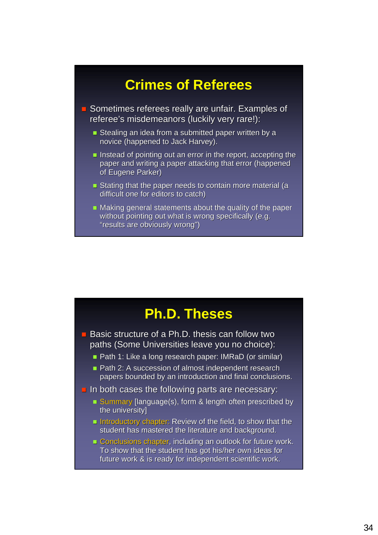## **Crimes of Referees**

**E** Sometimes referees really are unfair. Examples of referee's misdemeanors (luckily very rare!):

- Stealing an idea from a submitted paper written by a novice (happened to Jack Harvey).
- Instead of pointing out an error in the report, accepting the paper and writing a paper attacking that error (happened of Eugene Parker)
- Stating that the paper needs to contain more material (a difficult one for editors to catch)
- $\blacksquare$  Making general statements about the quality of the paper without pointing out what is wrong specifically (e.g. "results are obviously wrong")



 $\blacksquare$  Basic structure of a Ph.D. thesis can follow two paths (Some Universities leave you no choice):

- Path 1: Like a long research paper: IMRaD (or similar)
- Path 2: A succession of almost independent research papers bounded by an introduction and final conclusions.
- $\blacksquare$  In both cases the following parts are necessary:
	- **Summary [language(s), form & length often prescribed by** the university]
	- Introductory chapter: Review of the field, to show that the student has mastered the literature and background.
	- $\blacksquare$  Conclusions chapter, including an outlook for future work. To show that the student has got his/her own ideas for future work & is ready for independent scientific work.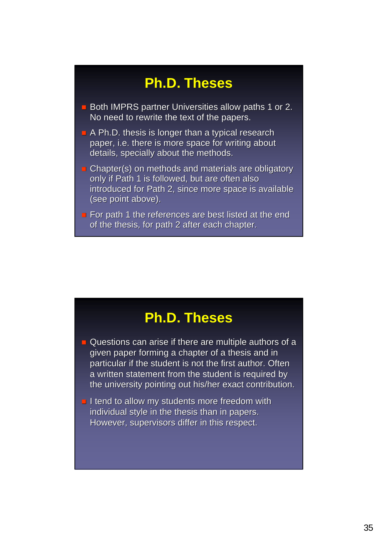## **Ph.D. Theses**

- **Both IMPRS partner Universities allow paths 1 or 2.** No need to rewrite the text of the papers.
- **A Ph.D. thesis is longer than a typical research** paper, i.e. there is more space for writing about details, specially about the methods.
- $\blacksquare$  Chapter(s) on methods and materials are obligatory only if Path 1 is followed, but are often also introduced for Path 2, since more space is available (see point above).
- For path 1 the references are best listed at the end of the thesis, for path 2 after each chapter.

#### **Ph.D. Theses**

- $\Box$  Questions can arise if there are multiple authors of a given paper forming a chapter of a thesis and in particular if the student is not the first author. Often a written statement from the student is required by the university pointing out his/her exact contribution.
- $\blacksquare$  I tend to allow my students more freedom with individual style in the thesis than in papers. However, supervisors differ in this respect.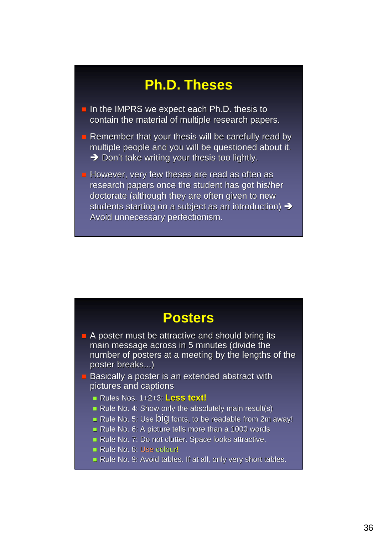## **Ph.D. Theses**

- $\blacksquare$  In the IMPRS we expect each Ph.D. thesis to contain the material of multiple research papers.
- **Remember that your thesis will be carefully read by** multiple people and you will be questioned about it.  $\rightarrow$  Don't take writing your thesis too lightly.
- $\blacksquare$  However, very few theses are read as often as research papers once the student has got his/her doctorate (although they are often given to new students starting on a subject as an introduction)  $\rightarrow$ Avoid unnecessary perfectionism.

#### **Posters**

- $\blacksquare$  A poster must be attractive and should bring its main message across in 5 minutes (divide the number of posters at a meeting by the lengths of the poster breaks...) poster breaks...)
- $\blacksquare$  Basically a poster is an extended abstract with pictures and captions
	- Rules Nos. 1+2+3: Rules Nos. 1+2+3: **Less text! Less text!**
	- Rule No. 4: Show only the absolutely main result(s)
	- Rule No. 5: Use big fonts, to be readable from 2m away!
	- Rule No. 6: A picture tells more than a 1000 words
	- Rule No. 7: Do not clutter. Space looks attractive.
	- Rule No. 8: Use colour!
	- Rule No. 9: Avoid tables. If at all, only very short tables.